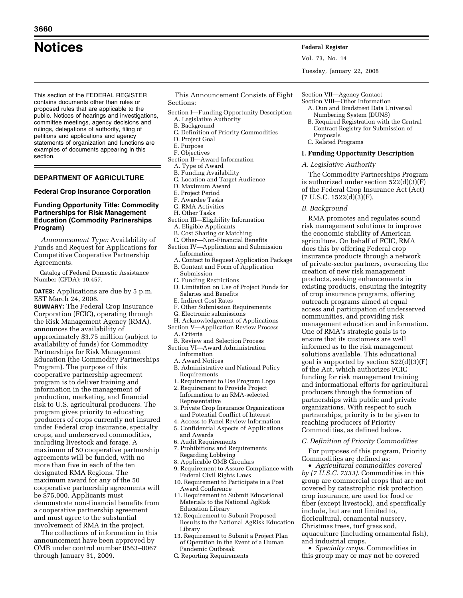This section of the FEDERAL REGISTER contains documents other than rules or proposed rules that are applicable to the public. Notices of hearings and investigations, committee meetings, agency decisions and rulings, delegations of authority, filing of petitions and applications and agency statements of organization and functions are examples of documents appearing in this section.

# **DEPARTMENT OF AGRICULTURE**

### **Federal Crop Insurance Corporation**

# **Funding Opportunity Title: Commodity Partnerships for Risk Management Education (Commodity Partnerships Program)**

*Announcement Type:* Availability of Funds and Request for Applications for Competitive Cooperative Partnership Agreements.

Catalog of Federal Domestic Assistance Number (CFDA): 10.457.

**DATES:** Applications are due by 5 p.m. EST March 24, 2008.

**SUMMARY:** The Federal Crop Insurance Corporation (FCIC), operating through the Risk Management Agency (RMA), announces the availability of approximately \$3.75 million (subject to availability of funds) for Commodity Partnerships for Risk Management Education (the Commodity Partnerships Program). The purpose of this cooperative partnership agreement program is to deliver training and information in the management of production, marketing, and financial risk to U.S. agricultural producers. The program gives priority to educating producers of crops currently not insured under Federal crop insurance, specialty crops, and underserved commodities, including livestock and forage. A maximum of 50 cooperative partnership agreements will be funded, with no more than five in each of the ten designated RMA Regions. The maximum award for any of the 50 cooperative partnership agreements will be \$75,000. Applicants must demonstrate non-financial benefits from a cooperative partnership agreement and must agree to the substantial involvement of RMA in the project.

The collections of information in this announcement have been approved by OMB under control number 0563–0067 through January 31, 2009.

This Announcement Consists of Eight Sections:

- Section I—Funding Opportunity Description A. Legislative Authority
	- B. Background
- C. Definition of Priority Commodities
- D. Project Goal
- E. Purpose
- F. Objectives
- Section II—Award Information
	- A. Type of Award B. Funding Availability
	- C. Location and Target Audience
	- D. Maximum Award
	- E. Project Period
	- F. Awardee Tasks
- G. RMA Activities
- H. Other Tasks
- Section III—Eligibility Information
	- A. Eligible Applicants
	- B. Cost Sharing or Matching
- C. Other—Non-Financial Benefits Section IV—Application and Submission
	- Information
- A. Contact to Request Application Package B. Content and Form of Application
- Submission
- C. Funding Restrictions
- D. Limitation on Use of Project Funds for Salaries and Benefits
- E. Indirect Cost Rates
- F. Other Submission Requirements
- G. Electronic submissions
- H. Acknowledgement of Applications
- Section V—Application Review Process
	- A. Criteria
- B. Review and Selection Process
- Section VI—Award Administration Information
	- A. Award Notices
	- B. Administrative and National Policy Requirements
	- 1. Requirement to Use Program Logo
	- 2. Requirement to Provide Project
	- Information to an RMA-selected Representative
	- 3. Private Crop Insurance Organizations and Potential Conflict of Interest
	- 4. Access to Panel Review Information 5. Confidential Aspects of Applications and Awards
	- 6. Audit Requirements
	- 7. Prohibitions and Requirements
	- Regarding Lobbying
	- 8. Applicable OMB Circulars
	- 9. Requirement to Assure Compliance with Federal Civil Rights Laws
	- 10. Requirement to Participate in a Post Award Conference
	- 11. Requirement to Submit Educational Materials to the National AgRisk Education Library
	- 12. Requirement to Submit Proposed Results to the National AgRisk Education Library
	- 13. Requirement to Submit a Project Plan of Operation in the Event of a Human Pandemic Outbreak
	- C. Reporting Requirements

# Section VII—Agency Contact

- Section VIII—Other Information A. Dun and Bradstreet Data Universal Numbering System (DUNS)
	- B. Required Registration with the Central Contract Registry for Submission of Proposals
	- C. Related Programs

### **I. Funding Opportunity Description**

#### *A. Legislative Authority*

The Commodity Partnerships Program is authorized under section 522(d)(3)(F) of the Federal Crop Insurance Act (Act)  $(7 \text{ U.S.C. } 1522 \text{ (d)}(3) \text{ (F)}.$ 

*B. Background* 

RMA promotes and regulates sound risk management solutions to improve the economic stability of American agriculture. On behalf of FCIC, RMA does this by offering Federal crop insurance products through a network of private-sector partners, overseeing the creation of new risk management products, seeking enhancements in existing products, ensuring the integrity of crop insurance programs, offering outreach programs aimed at equal access and participation of underserved communities, and providing risk management education and information. One of RMA's strategic goals is to ensure that its customers are well informed as to the risk management solutions available. This educational goal is supported by section 522(d)(3)(F) of the Act, which authorizes FCIC funding for risk management training and informational efforts for agricultural producers through the formation of partnerships with public and private organizations. With respect to such partnerships, priority is to be given to reaching producers of Priority Commodities, as defined below.

#### *C. Definition of Priority Commodities*

For purposes of this program, Priority Commodities are defined as:

• *Agricultural commodities covered by (7 U.S.C. 7333)*. Commodities in this group are commercial crops that are not covered by catastrophic risk protection crop insurance, are used for food or fiber (except livestock), and specifically include, but are not limited to, floricultural, ornamental nursery, Christmas trees, turf grass sod, aquaculture (including ornamental fish), and industrial crops.

• *Specialty crops*. Commodities in this group may or may not be covered

# **Notices Federal Register**

Vol. 73, No. 14

Tuesday, January 22, 2008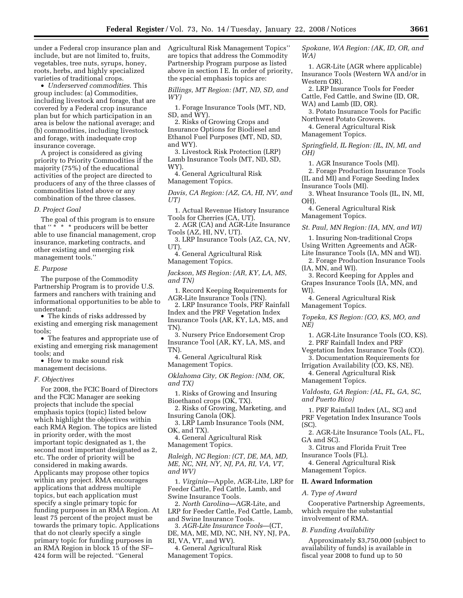under a Federal crop insurance plan and include, but are not limited to, fruits, vegetables, tree nuts, syrups, honey, roots, herbs, and highly specialized varieties of traditional crops.

• *Underserved commodities*. This group includes: (a) Commodities, including livestock and forage, that are covered by a Federal crop insurance plan but for which participation in an area is below the national average; and (b) commodities, including livestock and forage, with inadequate crop insurance coverage.

A project is considered as giving priority to Priority Commodities if the majority (75%) of the educational activities of the project are directed to producers of any of the three classes of commodities listed above or any combination of the three classes.

# *D. Project Goal*

The goal of this program is to ensure that "\* \* \* producers will be better able to use financial management, crop insurance, marketing contracts, and other existing and emerging risk management tools.''

### *E. Purpose*

The purpose of the Commodity Partnership Program is to provide U.S. farmers and ranchers with training and informational opportunities to be able to understand:

• The kinds of risks addressed by existing and emerging risk management tools;

• The features and appropriate use of existing and emerging risk management tools; and

• How to make sound risk management decisions.

*F. Objectives* 

For 2008, the FCIC Board of Directors and the FCIC Manager are seeking projects that include the special emphasis topics (topic) listed below which highlight the objectives within each RMA Region. The topics are listed in priority order, with the most important topic designated as 1, the second most important designated as 2, etc. The order of priority will be considered in making awards. Applicants may propose other topics within any project. RMA encourages applications that address multiple topics, but each application must specify a single primary topic for funding purposes in an RMA Region. At least 75 percent of the project must be towards the primary topic. Applications that do not clearly specify a single primary topic for funding purposes in an RMA Region in block 15 of the SF– 424 form will be rejected. ''General

Agricultural Risk Management Topics'' are topics that address the Commodity Partnership Program purpose as listed above in section I E. In order of priority, the special emphasis topics are:

*Billings, MT Region: (MT, ND, SD, and WY)* 

1. Forage Insurance Tools (MT, ND, SD, and WY).

2. Risks of Growing Crops and Insurance Options for Biodiesel and Ethanol Fuel Purposes (MT, ND, SD, and WY).

3. Livestock Risk Protection (LRP) Lamb Insurance Tools (MT, ND, SD, WY).

4. General Agricultural Risk Management Topics.

*Davis, CA Region: (AZ, CA, HI, NV, and UT)* 

1. Actual Revenue History Insurance Tools for Cherries (CA, UT).

2. AGR (CA) and AGR-Lite Insurance Tools (AZ, HI, NV, UT).

3. LRP Insurance Tools (AZ, CA, NV, UT).

4. General Agricultural Risk Management Topics.

*Jackson, MS Region: (AR, KY, LA, MS, and TN)* 

1. Record Keeping Requirements for AGR-Lite Insurance Tools (TN).

2. LRP Insurance Tools, PRF Rainfall Index and the PRF Vegetation Index Insurance Tools (AR, KY, LA, MS, and TN).

3. Nursery Price Endorsement Crop Insurance Tool (AR, KY, LA, MS, and TN).

4. General Agricultural Risk Management Topics.

*Oklahoma City, OK Region: (NM, OK, and TX)* 

1. Risks of Growing and Insuring Bioethanol crops (OK, TX).

2. Risks of Growing, Marketing, and Insuring Canola (OK).

3. LRP Lamb Insurance Tools (NM, OK, and TX).

4. General Agricultural Risk

Management Topics.

*Raleigh, NC Region: (CT, DE, MA, MD, ME, NC, NH, NY, NJ, PA, RI, VA, VT, and WV)* 

1. *Virginia*—Apple, AGR-Lite, LRP for Feeder Cattle, Fed Cattle, Lamb, and Swine Insurance Tools.

2. *North Carolina*—AGR-Lite, and LRP for Feeder Cattle, Fed Cattle, Lamb, and Swine Insurance Tools.

3. *AGR-Lite Insurance Tools*—(CT, DE, MA, ME, MD, NC, NH, NY, NJ, PA, RI, VA, VT, and WV).

4. General Agricultural Risk Management Topics.

*Spokane, WA Region: (AK, ID, OR, and WA)* 

1. AGR-Lite (AGR where applicable) Insurance Tools (Western WA and/or in Western OR).

2. LRP Insurance Tools for Feeder Cattle, Fed Cattle, and Swine (ID, OR, WA) and Lamb (ID, OR).

3. Potato Insurance Tools for Pacific Northwest Potato Growers.

4. General Agricultural Risk Management Topics.

*Springfield, IL Region: (IL, IN, MI, and OH)* 

1. AGR Insurance Tools (MI).

2. Forage Production Insurance Tools (IL and MI) and Forage Seeding Index Insurance Tools (MI).

3. Wheat Insurance Tools (IL, IN, MI, OH).

4. General Agricultural Risk Management Topics.

*St. Paul, MN Region: (IA, MN, and WI)* 

1. Insuring Non-traditional Crops Using Written Agreements and AGR-

Lite Insurance Tools (IA, MN and WI).

2. Forage Production Insurance Tools (IA, MN, and WI).

3. Record Keeping for Apples and Grapes Insurance Tools (IA, MN, and WI).

4. General Agricultural Risk Management Topics.

*Topeka, KS Region: (CO, KS, MO, and NE)* 

1. AGR-Lite Insurance Tools (CO, KS).

2. PRF Rainfall Index and PRF

Vegetation Index Insurance Tools (CO). 3. Documentation Requirements for

Irrigation Availability (CO, KS, NE). 4. General Agricultural Risk

Management Topics.

*Valdosta, GA Region: (AL, FL, GA, SC, and Puerto Rico)* 

1. PRF Rainfall Index (AL, SC) and PRF Vegetation Index Insurance Tools (SC).

2. AGR-Lite Insurance Tools (AL, FL, GA and SC).

3. Citrus and Florida Fruit Tree Insurance Tools (FL).

4. General Agricultural Risk

Management Topics.

# **II. Award Information**

### *A. Type of Award*

Cooperative Partnership Agreements, which require the substantial involvement of RMA.

### *B. Funding Availability*

Approximately \$3,750,000 (subject to availability of funds) is available in fiscal year 2008 to fund up to 50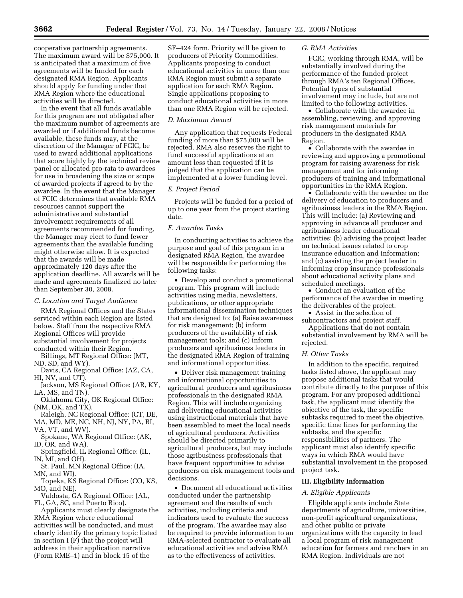cooperative partnership agreements. The maximum award will be \$75,000. It is anticipated that a maximum of five agreements will be funded for each designated RMA Region. Applicants should apply for funding under that RMA Region where the educational activities will be directed.

In the event that all funds available for this program are not obligated after the maximum number of agreements are awarded or if additional funds become available, these funds may, at the discretion of the Manager of FCIC, be used to award additional applications that score highly by the technical review panel or allocated pro-rata to awardees for use in broadening the size or scope of awarded projects if agreed to by the awardee. In the event that the Manager of FCIC determines that available RMA resources cannot support the administrative and substantial involvement requirements of all agreements recommended for funding, the Manager may elect to fund fewer agreements than the available funding might otherwise allow. It is expected that the awards will be made approximately 120 days after the application deadline. All awards will be made and agreements finalized no later than September 30, 2008.

#### *C. Location and Target Audience*

RMA Regional Offices and the States serviced within each Region are listed below. Staff from the respective RMA Regional Offices will provide substantial involvement for projects conducted within their Region.

Billings, MT Regional Office: (MT, ND, SD, and WY).

Davis, CA Regional Office: (AZ, CA, HI, NV, and UT).

Jackson, MS Regional Office: (AR, KY, LA, MS, and TN).

Oklahoma City, OK Regional Office: (NM, OK, and TX).

Raleigh, NC Regional Office: (CT, DE, MA, MD, ME, NC, NH, NJ, NY, PA, RI, VA, VT, and WV)

Spokane, WA Regional Office: (AK, ID, OR, and WA).

Springfield, IL Regional Office: (IL, IN, MI, and OH).

St. Paul, MN Regional Office: (IA, MN, and WI)

Topeka, KS Regional Office: (CO, KS, MO, and NE).

Valdosta, GA Regional Office: (AL, FL, GA, SC, and Puerto Rico).

Applicants must clearly designate the RMA Region where educational activities will be conducted, and must clearly identify the primary topic listed in section I (F) that the project will address in their application narrative (Form RME–1) and in block 15 of the

SF–424 form. Priority will be given to producers of Priority Commodities. Applicants proposing to conduct educational activities in more than one RMA Region must submit a separate application for each RMA Region. Single applications proposing to conduct educational activities in more than one RMA Region will be rejected.

### *D. Maximum Award*

Any application that requests Federal funding of more than \$75,000 will be rejected. RMA also reserves the right to fund successful applications at an amount less than requested if it is judged that the application can be implemented at a lower funding level.

# *E. Project Period*

Projects will be funded for a period of up to one year from the project starting date.

# *F. Awardee Tasks*

In conducting activities to achieve the purpose and goal of this program in a designated RMA Region, the awardee will be responsible for performing the following tasks:

• Develop and conduct a promotional program. This program will include activities using media, newsletters, publications, or other appropriate informational dissemination techniques that are designed to: (a) Raise awareness for risk management; (b) inform producers of the availability of risk management tools; and (c) inform producers and agribusiness leaders in the designated RMA Region of training and informational opportunities.

• Deliver risk management training and informational opportunities to agricultural producers and agribusiness professionals in the designated RMA Region. This will include organizing and delivering educational activities using instructional materials that have been assembled to meet the local needs of agricultural producers. Activities should be directed primarily to agricultural producers, but may include those agribusiness professionals that have frequent opportunities to advise producers on risk management tools and decisions.

• Document all educational activities conducted under the partnership agreement and the results of such activities, including criteria and indicators used to evaluate the success of the program. The awardee may also be required to provide information to an RMA-selected contractor to evaluate all educational activities and advise RMA as to the effectiveness of activities.

# *G. RMA Activities*

FCIC, working through RMA, will be substantially involved during the performance of the funded project through RMA's ten Regional Offices. Potential types of substantial involvement may include, but are not limited to the following activities.

• Collaborate with the awardee in assembling, reviewing, and approving risk management materials for producers in the designated RMA Region.

• Collaborate with the awardee in reviewing and approving a promotional program for raising awareness for risk management and for informing producers of training and informational opportunities in the RMA Region.

• Collaborate with the awardee on the delivery of education to producers and agribusiness leaders in the RMA Region. This will include: (a) Reviewing and approving in advance all producer and agribusiness leader educational activities; (b) advising the project leader on technical issues related to crop insurance education and information; and (c) assisting the project leader in informing crop insurance professionals about educational activity plans and scheduled meetings.

• Conduct an evaluation of the performance of the awardee in meeting the deliverables of the project.

• Assist in the selection of

subcontractors and project staff.

Applications that do not contain substantial involvement by RMA will be rejected.

# *H. Other Tasks*

In addition to the specific, required tasks listed above, the applicant may propose additional tasks that would contribute directly to the purpose of this program. For any proposed additional task, the applicant must identify the objective of the task, the specific subtasks required to meet the objective, specific time lines for performing the subtasks, and the specific responsibilities of partners. The applicant must also identify specific ways in which RMA would have substantial involvement in the proposed project task.

#### **III. Eligibility Information**

#### *A. Eligible Applicants*

Eligible applicants include State departments of agriculture, universities, non-profit agricultural organizations, and other public or private organizations with the capacity to lead a local program of risk management education for farmers and ranchers in an RMA Region. Individuals are not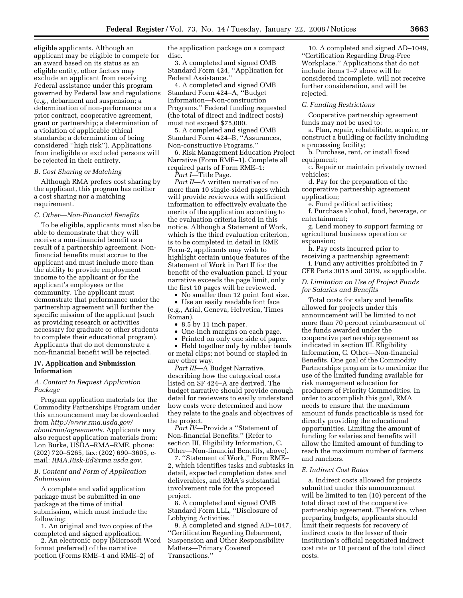eligible applicants. Although an applicant may be eligible to compete for an award based on its status as an eligible entity, other factors may exclude an applicant from receiving Federal assistance under this program governed by Federal law and regulations (e.g., debarment and suspension; a determination of non-performance on a prior contract, cooperative agreement, grant or partnership; a determination of a violation of applicable ethical standards; a determination of being considered ''high risk''). Applications from ineligible or excluded persons will be rejected in their entirety.

#### *B. Cost Sharing or Matching*

Although RMA prefers cost sharing by the applicant, this program has neither a cost sharing nor a matching requirement.

### *C. Other—Non-Financial Benefits*

To be eligible, applicants must also be able to demonstrate that they will receive a non-financial benefit as a result of a partnership agreement. Nonfinancial benefits must accrue to the applicant and must include more than the ability to provide employment income to the applicant or for the applicant's employees or the community. The applicant must demonstrate that performance under the partnership agreement will further the specific mission of the applicant (such as providing research or activities necessary for graduate or other students to complete their educational program). Applicants that do not demonstrate a non-financial benefit will be rejected.

### **IV. Application and Submission Information**

# *A. Contact to Request Application Package*

Program application materials for the Commodity Partnerships Program under this announcement may be downloaded from *http://www.rma.usda.gov/ aboutrma/agreements*. Applicants may also request application materials from: Lon Burke, USDA–RMA–RME, phone: (202) 720–5265, fax: (202) 690–3605, email: *RMA.Risk-Ed@rma.usda.gov*.

### *B. Content and Form of Application Submission*

A complete and valid application package must be submitted in one package at the time of initial submission, which must include the following:

1. An original and two copies of the completed and signed application.

2. An electronic copy (Microsoft Word format preferred) of the narrative portion (Forms RME–1 and RME–2) of

the application package on a compact disc.

3. A completed and signed OMB Standard Form 424, ''Application for Federal Assistance.''

4. A completed and signed OMB Standard Form 424–A, ''Budget Information—Non-construction Programs.'' Federal funding requested (the total of direct and indirect costs) must not exceed \$75,000.

5. A completed and signed OMB Standard Form 424–B, ''Assurances, Non-constructive Programs.''

6. Risk Management Education Project Narrative (Form RME–1). Complete all required parts of Form RME–1:

*Part I*—Title Page.

Part II—A written narrative of no more than 10 single-sided pages which will provide reviewers with sufficient information to effectively evaluate the merits of the application according to the evaluation criteria listed in this notice. Although a Statement of Work, which is the third evaluation criterion, is to be completed in detail in RME Form-2, applicants may wish to highlight certain unique features of the Statement of Work in Part II for the benefit of the evaluation panel. If your narrative exceeds the page limit, only the first 10 pages will be reviewed.

• No smaller than 12 point font size.

• Use an easily readable font face (e.g., Arial, Geneva, Helvetica, Times Roman).

• 8.5 by 11 inch paper.

• One-inch margins on each page.

• Printed on only one side of paper.

• Held together only by rubber bands or metal clips; not bound or stapled in any other way.

*Part III*—A Budget Narrative, describing how the categorical costs listed on SF 424–A are derived. The budget narrative should provide enough detail for reviewers to easily understand how costs were determined and how they relate to the goals and objectives of the project.

*Part IV*—Provide a ''Statement of Non-financial Benefits.'' (Refer to section III, Eligibility Information, C. Other—Non-financial Benefits, above).

7. ''Statement of Work,'' Form RME– 2, which identifies tasks and subtasks in detail, expected completion dates and deliverables, and RMA's substantial involvement role for the proposed project.

8. A completed and signed OMB Standard Form LLL, ''Disclosure of Lobbying Activities.''

9. A completed and signed AD–1047, ''Certification Regarding Debarment, Suspension and Other Responsibility Matters—Primary Covered Transactions.''

10. A completed and signed AD–1049, ''Certification Regarding Drug-Free Workplace.'' Applications that do not include items 1–7 above will be considered incomplete, will not receive further consideration, and will be rejected.

#### *C. Funding Restrictions*

Cooperative partnership agreement funds may not be used to:

a. Plan, repair, rehabilitate, acquire, or construct a building or facility including a processing facility;

b. Purchase, rent, or install fixed equipment;

c. Repair or maintain privately owned vehicles;

d. Pay for the preparation of the cooperative partnership agreement application;

e. Fund political activities;

f. Purchase alcohol, food, beverage, or entertainment;

g. Lend money to support farming or agricultural business operation or expansion;

h. Pay costs incurred prior to receiving a partnership agreement; i. Fund any activities prohibited in 7 CFR Parts 3015 and 3019, as applicable.

# *D. Limitation on Use of Project Funds for Salaries and Benefits*

Total costs for salary and benefits allowed for projects under this announcement will be limited to not more than 70 percent reimbursement of the funds awarded under the cooperative partnership agreement as indicated in section III. Eligibility Information, C. Other—Non-financial Benefits. One goal of the Commodity Partnerships program is to maximize the use of the limited funding available for risk management education for producers of Priority Commodities. In order to accomplish this goal, RMA needs to ensure that the maximum amount of funds practicable is used for directly providing the educational opportunities. Limiting the amount of funding for salaries and benefits will allow the limited amount of funding to reach the maximum number of farmers and ranchers.

### *E. Indirect Cost Rates*

a. Indirect costs allowed for projects submitted under this announcement will be limited to ten (10) percent of the total direct cost of the cooperative partnership agreement. Therefore, when preparing budgets, applicants should limit their requests for recovery of indirect costs to the lesser of their institution's official negotiated indirect cost rate or 10 percent of the total direct costs.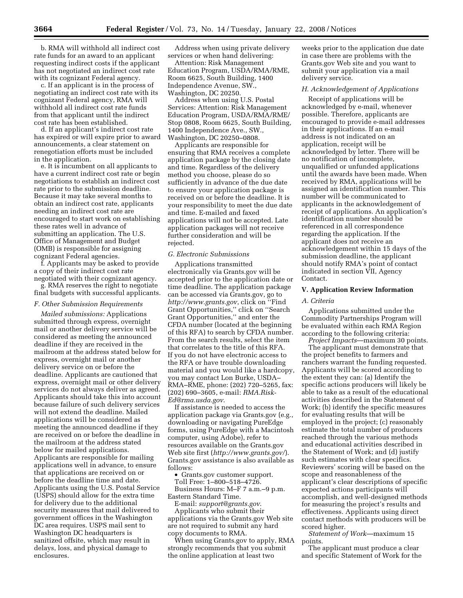b. RMA will withhold all indirect cost rate funds for an award to an applicant requesting indirect costs if the applicant has not negotiated an indirect cost rate with its cognizant Federal agency.

c. If an applicant is in the process of negotiating an indirect cost rate with its cognizant Federal agency, RMA will withhold all indirect cost rate funds from that applicant until the indirect cost rate has been established.

d. If an applicant's indirect cost rate has expired or will expire prior to award announcements, a clear statement on renegotiation efforts must be included in the application.

e. It is incumbent on all applicants to have a current indirect cost rate or begin negotiations to establish an indirect cost rate prior to the submission deadline. Because it may take several months to obtain an indirect cost rate, applicants needing an indirect cost rate are encouraged to start work on establishing these rates well in advance of submitting an application. The U.S. Office of Management and Budget (OMB) is responsible for assigning cognizant Federal agencies.

f. Applicants may be asked to provide a copy of their indirect cost rate negotiated with their cognizant agency.

g. RMA reserves the right to negotiate final budgets with successful applicants.

#### *F. Other Submission Requirements*

*Mailed submissions:* Applications submitted through express, overnight mail or another delivery service will be considered as meeting the announced deadline if they are received in the mailroom at the address stated below for express, overnight mail or another delivery service on or before the deadline. Applicants are cautioned that express, overnight mail or other delivery services do not always deliver as agreed. Applicants should take this into account because failure of such delivery services will not extend the deadline. Mailed applications will be considered as meeting the announced deadline if they are received on or before the deadline in the mailroom at the address stated below for mailed applications. Applicants are responsible for mailing applications well in advance, to ensure that applications are received on or before the deadline time and date. Applicants using the U.S. Postal Service (USPS) should allow for the extra time for delivery due to the additional security measures that mail delivered to government offices in the Washington DC area requires. USPS mail sent to Washington DC headquarters is sanitized offsite, which may result in delays, loss, and physical damage to enclosures.

Address when using private delivery services or when hand delivering:

Attention: Risk Management Education Program, USDA/RMA/RME, Room 6625, South Building, 1400 Independence Avenue, SW., Washington, DC 20250.

Address when using U.S. Postal Services: Attention: Risk Management Education Program, USDA/RMA/RME/ Stop 0808, Room 6625, South Building, 1400 Independence Ave., SW., Washington, DC 20250–0808.

Applicants are responsible for ensuring that RMA receives a complete application package by the closing date and time. Regardless of the delivery method you choose, please do so sufficiently in advance of the due date to ensure your application package is received on or before the deadline. It is your responsibility to meet the due date and time. E-mailed and faxed applications will not be accepted. Late application packages will not receive further consideration and will be rejected.

#### *G. Electronic Submissions*

Applications transmitted electronically via Grants.gov will be accepted prior to the application date or time deadline. The application package can be accessed via Grants.gov, go to *http://www.grants.gov*, click on ''Find Grant Opportunities,'' click on ''Search Grant Opportunities,'' and enter the CFDA number (located at the beginning of this RFA) to search by CFDA number. From the search results, select the item that correlates to the title of this RFA. If you do not have electronic access to the RFA or have trouble downloading material and you would like a hardcopy, you may contact Lon Burke, USDA– RMA–RME, phone: (202) 720–5265, fax: (202) 690–3605, e-mail: *RMA.Risk-Ed@rma.usda.gov*.

If assistance is needed to access the application package via Grants.gov (e.g., downloading or navigating PureEdge forms, using PureEdge with a Macintosh computer, using Adobe), refer to resources available on the Grants.gov Web site first (*http://www.grants.gov/*). Grants.gov assistance is also available as follows:

• Grants.gov customer support. Toll Free: 1–800–518–4726.

Business Hours: M–F 7 a.m.–9 p.m. Eastern Standard Time.

E-mail: *support@grants.gov*. Applicants who submit their applications via the Grants.gov Web site are not required to submit any hard copy documents to RMA.

When using Grants.gov to apply, RMA strongly recommends that you submit the online application at least two

weeks prior to the application due date in case there are problems with the Grants.gov Web site and you want to submit your application via a mail delivery service.

### *H. Acknowledgement of Applications*

Receipt of applications will be acknowledged by e-mail, whenever possible. Therefore, applicants are encouraged to provide e-mail addresses in their applications. If an e-mail address is not indicated on an application, receipt will be acknowledged by letter. There will be no notification of incomplete, unqualified or unfunded applications until the awards have been made. When received by RMA, applications will be assigned an identification number. This number will be communicated to applicants in the acknowledgement of receipt of applications. An application's identification number should be referenced in all correspondence regarding the application. If the applicant does not receive an acknowledgement within 15 days of the submission deadline, the applicant should notify RMA's point of contact indicated in section VII, Agency Contact.

### **V. Application Review Information**

### *A. Criteria*

Applications submitted under the Commodity Partnerships Program will be evaluated within each RMA Region according to the following criteria:

*Project Impacts*—maximum 30 points. The applicant must demonstrate that

the project benefits to farmers and ranchers warrant the funding requested. Applicants will be scored according to the extent they can: (a) Identify the specific actions producers will likely be able to take as a result of the educational activities described in the Statement of Work; (b) identify the specific measures for evaluating results that will be employed in the project; (c) reasonably estimate the total number of producers reached through the various methods and educational activities described in the Statement of Work; and (d) justify such estimates with clear specifics. Reviewers' scoring will be based on the scope and reasonableness of the applicant's clear descriptions of specific expected actions participants will accomplish, and well-designed methods for measuring the project's results and effectiveness. Applicants using direct contact methods with producers will be scored higher.

*Statement of Work*—maximum 15 points.

The applicant must produce a clear and specific Statement of Work for the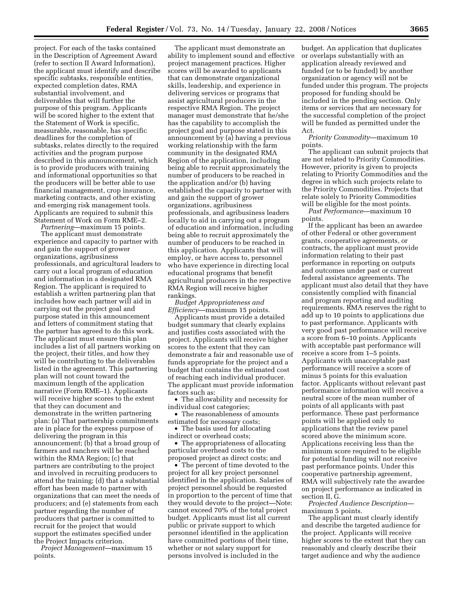project. For each of the tasks contained in the Description of Agreement Award (refer to section II Award Information), the applicant must identify and describe specific subtasks, responsible entities, expected completion dates, RMA substantial involvement, and deliverables that will further the purpose of this program. Applicants will be scored higher to the extent that the Statement of Work is specific, measurable, reasonable, has specific deadlines for the completion of subtasks, relates directly to the required activities and the program purpose described in this announcement, which is to provide producers with training and informational opportunities so that the producers will be better able to use financial management, crop insurance, marketing contracts, and other existing and emerging risk management tools. Applicants are required to submit this Statement of Work on Form RME–2.

*Partnering*—maximum 15 points. The applicant must demonstrate experience and capacity to partner with and gain the support of grower organizations, agribusiness professionals, and agricultural leaders to carry out a local program of education and information in a designated RMA Region. The applicant is required to establish a written partnering plan that includes how each partner will aid in carrying out the project goal and purpose stated in this announcement and letters of commitment stating that the partner has agreed to do this work. The applicant must ensure this plan includes a list of all partners working on the project, their titles, and how they will be contributing to the deliverables listed in the agreement. This partnering plan will not count toward the maximum length of the application narrative (Form RME–1). Applicants will receive higher scores to the extent that they can document and demonstrate in the written partnering plan: (a) That partnership commitments are in place for the express purpose of delivering the program in this announcement; (b) that a broad group of farmers and ranchers will be reached within the RMA Region; (c) that partners are contributing to the project and involved in recruiting producers to attend the training; (d) that a substantial effort has been made to partner with organizations that can meet the needs of producers; and (e) statements from each partner regarding the number of producers that partner is committed to recruit for the project that would support the estimates specified under the Project Impacts criterion.

*Project Management*—maximum 15 points.

The applicant must demonstrate an ability to implement sound and effective project management practices. Higher scores will be awarded to applicants that can demonstrate organizational skills, leadership, and experience in delivering services or programs that assist agricultural producers in the respective RMA Region. The project manager must demonstrate that he/she has the capability to accomplish the project goal and purpose stated in this announcement by (a) having a previous working relationship with the farm community in the designated RMA Region of the application, including being able to recruit approximately the number of producers to be reached in the application and/or (b) having established the capacity to partner with and gain the support of grower organizations, agribusiness professionals, and agribusiness leaders locally to aid in carrying out a program of education and information, including being able to recruit approximately the number of producers to be reached in this application. Applicants that will employ, or have access to, personnel who have experience in directing local educational programs that benefit agricultural producers in the respective RMA Region will receive higher rankings.

*Budget Appropriateness and Efficiency*—maximum 15 points.

Applicants must provide a detailed budget summary that clearly explains and justifies costs associated with the project. Applicants will receive higher scores to the extent that they can demonstrate a fair and reasonable use of funds appropriate for the project and a budget that contains the estimated cost of reaching each individual producer. The applicant must provide information factors such as:

• The allowability and necessity for individual cost categories;

• The reasonableness of amounts estimated for necessary costs;

• The basis used for allocating indirect or overhead costs;

• The appropriateness of allocating particular overhead costs to the proposed project as direct costs; and

• The percent of time devoted to the project for all key project personnel identified in the application. Salaries of project personnel should be requested in proportion to the percent of time that they would devote to the project—Note: cannot exceed 70% of the total project budget. Applicants must list all current public or private support to which personnel identified in the application have committed portions of their time, whether or not salary support for persons involved is included in the

budget. An application that duplicates or overlaps substantially with an application already reviewed and funded (or to be funded) by another organization or agency will not be funded under this program. The projects proposed for funding should be included in the pending section. Only items or services that are necessary for the successful completion of the project will be funded as permitted under the Act.

*Priority Commodity*—maximum 10 points.

The applicant can submit projects that are not related to Priority Commodities. However, priority is given to projects relating to Priority Commodities and the degree in which such projects relate to the Priority Commodities. Projects that relate solely to Priority Commodities will be eligible for the most points.

*Past Performance*—maximum 10 points.

If the applicant has been an awardee of other Federal or other government grants, cooperative agreements, or contracts, the applicant must provide information relating to their past performance in reporting on outputs and outcomes under past or current federal assistance agreements. The applicant must also detail that they have consistently complied with financial and program reporting and auditing requirements. RMA reserves the right to add up to 10 points to applications due to past performance. Applicants with very good past performance will receive a score from 6–10 points. Applicants with acceptable past performance will receive a score from 1–5 points. Applicants with unacceptable past performance will receive a score of minus 5 points for this evaluation factor. Applicants without relevant past performance information will receive a neutral score of the mean number of points of all applicants with past performance. These past performance points will be applied only to applications that the review panel scored above the minimum score. Applications receiving less than the minimum score required to be eligible for potential funding will not receive past performance points. Under this cooperative partnership agreement, RMA will subjectively rate the awardee on project performance as indicated in section II, G.

*Projected Audience Description* maximum 5 points.

The applicant must clearly identify and describe the targeted audience for the project. Applicants will receive higher scores to the extent that they can reasonably and clearly describe their target audience and why the audience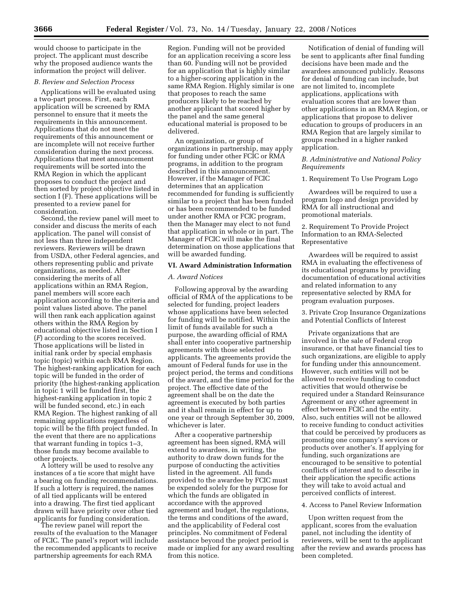would choose to participate in the project. The applicant must describe why the proposed audience wants the information the project will deliver.

# *B. Review and Selection Process*

Applications will be evaluated using a two-part process. First, each application will be screened by RMA personnel to ensure that it meets the requirements in this announcement. Applications that do not meet the requirements of this announcement or are incomplete will not receive further consideration during the next process. Applications that meet announcement requirements will be sorted into the RMA Region in which the applicant proposes to conduct the project and then sorted by project objective listed in section I (F). These applications will be presented to a review panel for consideration.

Second, the review panel will meet to consider and discuss the merits of each application. The panel will consist of not less than three independent reviewers. Reviewers will be drawn from USDA, other Federal agencies, and others representing public and private organizations, as needed. After considering the merits of all applications within an RMA Region, panel members will score each application according to the criteria and point values listed above. The panel will then rank each application against others within the RMA Region by educational objective listed in Section I (*F*) according to the scores received. Those applications will be listed in initial rank order by special emphasis topic (topic) within each RMA Region. The highest-ranking application for each topic will be funded in the order of priority (the highest-ranking application in topic 1 will be funded first, the highest-ranking application in topic 2 will be funded second, etc.) in each RMA Region. The highest ranking of all remaining applications regardless of topic will be the fifth project funded. In the event that there are no applications that warrant funding in topics 1–3, those funds may become available to other projects.

A lottery will be used to resolve any instances of a tie score that might have a bearing on funding recommendations. If such a lottery is required, the names of all tied applicants will be entered into a drawing. The first tied applicant drawn will have priority over other tied applicants for funding consideration.

The review panel will report the results of the evaluation to the Manager of FCIC. The panel's report will include the recommended applicants to receive partnership agreements for each RMA

Region. Funding will not be provided for an application receiving a score less than 60. Funding will not be provided for an application that is highly similar to a higher-scoring application in the same RMA Region. Highly similar is one that proposes to reach the same producers likely to be reached by another applicant that scored higher by the panel and the same general educational material is proposed to be delivered.

An organization, or group of organizations in partnership, may apply for funding under other FCIC or RMA programs, in addition to the program described in this announcement. However, if the Manager of FCIC determines that an application recommended for funding is sufficiently similar to a project that has been funded or has been recommended to be funded under another RMA or FCIC program, then the Manager may elect to not fund that application in whole or in part. The Manager of FCIC will make the final determination on those applications that will be awarded funding.

# **VI. Award Administration Information**

# *A. Award Notices*

Following approval by the awarding official of RMA of the applications to be selected for funding, project leaders whose applications have been selected for funding will be notified. Within the limit of funds available for such a purpose, the awarding official of RMA shall enter into cooperative partnership agreements with those selected applicants. The agreements provide the amount of Federal funds for use in the project period, the terms and conditions of the award, and the time period for the project. The effective date of the agreement shall be on the date the agreement is executed by both parties and it shall remain in effect for up to one year or through September 30, 2009, whichever is later.

After a cooperative partnership agreement has been signed, RMA will extend to awardees, in writing, the authority to draw down funds for the purpose of conducting the activities listed in the agreement. All funds provided to the awardee by FCIC must be expended solely for the purpose for which the funds are obligated in accordance with the approved agreement and budget, the regulations, the terms and conditions of the award, and the applicability of Federal cost principles. No commitment of Federal assistance beyond the project period is made or implied for any award resulting from this notice.

Notification of denial of funding will be sent to applicants after final funding decisions have been made and the awardees announced publicly. Reasons for denial of funding can include, but are not limited to, incomplete applications, applications with evaluation scores that are lower than other applications in an RMA Region, or applications that propose to deliver education to groups of producers in an RMA Region that are largely similar to groups reached in a higher ranked application.

# *B. Administrative and National Policy Requirements*

1. Requirement To Use Program Logo

Awardees will be required to use a program logo and design provided by RMA for all instructional and promotional materials.

2. Requirement To Provide Project Information to an RMA-Selected Representative

Awardees will be required to assist RMA in evaluating the effectiveness of its educational programs by providing documentation of educational activities and related information to any representative selected by RMA for program evaluation purposes.

3. Private Crop Insurance Organizations and Potential Conflicts of Interest

Private organizations that are involved in the sale of Federal crop insurance, or that have financial ties to such organizations, are eligible to apply for funding under this announcement. However, such entities will not be allowed to receive funding to conduct activities that would otherwise be required under a Standard Reinsurance Agreement or any other agreement in effect between FCIC and the entity. Also, such entities will not be allowed to receive funding to conduct activities that could be perceived by producers as promoting one company's services or products over another's. If applying for funding, such organizations are encouraged to be sensitive to potential conflicts of interest and to describe in their application the specific actions they will take to avoid actual and perceived conflicts of interest.

# 4. Access to Panel Review Information

Upon written request from the applicant, scores from the evaluation panel, not including the identity of reviewers, will be sent to the applicant after the review and awards process has been completed.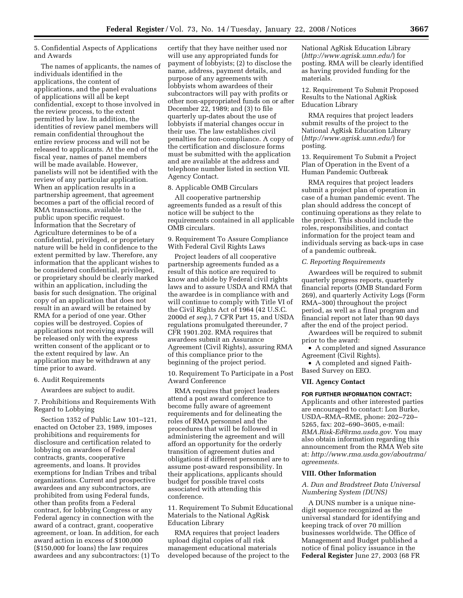5. Confidential Aspects of Applications and Awards

The names of applicants, the names of individuals identified in the applications, the content of applications, and the panel evaluations of applications will all be kept confidential, except to those involved in the review process, to the extent permitted by law. In addition, the identities of review panel members will remain confidential throughout the entire review process and will not be released to applicants. At the end of the fiscal year, names of panel members will be made available. However, panelists will not be identified with the review of any particular application. When an application results in a partnership agreement, that agreement becomes a part of the official record of RMA transactions, available to the public upon specific request. Information that the Secretary of Agriculture determines to be of a confidential, privileged, or proprietary nature will be held in confidence to the extent permitted by law. Therefore, any information that the applicant wishes to be considered confidential, privileged, or proprietary should be clearly marked within an application, including the basis for such designation. The original copy of an application that does not result in an award will be retained by RMA for a period of one year. Other copies will be destroyed. Copies of applications not receiving awards will be released only with the express written consent of the applicant or to the extent required by law. An application may be withdrawn at any time prior to award.

### 6. Audit Requirements

Awardees are subject to audit.

7. Prohibitions and Requirements With Regard to Lobbying

Section 1352 of Public Law 101–121, enacted on October 23, 1989, imposes prohibitions and requirements for disclosure and certification related to lobbying on awardees of Federal contracts, grants, cooperative agreements, and loans. It provides exemptions for Indian Tribes and tribal organizations. Current and prospective awardees and any subcontractors, are prohibited from using Federal funds, other than profits from a Federal contract, for lobbying Congress or any Federal agency in connection with the award of a contract, grant, cooperative agreement, or loan. In addition, for each award action in excess of \$100,000 (\$150,000 for loans) the law requires awardees and any subcontractors: (1) To

certify that they have neither used nor will use any appropriated funds for payment of lobbyists; (2) to disclose the name, address, payment details, and purpose of any agreements with lobbyists whom awardees of their subcontractors will pay with profits or other non-appropriated funds on or after December 22, 1989; and (3) to file quarterly up-dates about the use of lobbyists if material changes occur in their use. The law establishes civil penalties for non-compliance. A copy of the certification and disclosure forms must be submitted with the application and are available at the address and telephone number listed in section VII. Agency Contact.

### 8. Applicable OMB Circulars

All cooperative partnership agreements funded as a result of this notice will be subject to the requirements contained in all applicable OMB circulars.

9. Requirement To Assure Compliance With Federal Civil Rights Laws

Project leaders of all cooperative partnership agreements funded as a result of this notice are required to know and abide by Federal civil rights laws and to assure USDA and RMA that the awardee is in compliance with and will continue to comply with Title VI of the Civil Rights Act of 1964 (42 U.S.C. 2000d *et seq.*), 7 CFR Part 15, and USDA regulations promulgated thereunder, 7 CFR 1901.202. RMA requires that awardees submit an Assurance Agreement (Civil Rights), assuring RMA of this compliance prior to the beginning of the project period.

10. Requirement To Participate in a Post Award Conference

RMA requires that project leaders attend a post award conference to become fully aware of agreement requirements and for delineating the roles of RMA personnel and the procedures that will be followed in administering the agreement and will afford an opportunity for the orderly transition of agreement duties and obligations if different personnel are to assume post-award responsibility. In their applications, applicants should budget for possible travel costs associated with attending this conference.

11. Requirement To Submit Educational Materials to the National AgRisk Education Library

RMA requires that project leaders upload digital copies of all risk management educational materials developed because of the project to the National AgRisk Education Library (*http://www.agrisk.umn.edu/*) for posting. RMA will be clearly identified as having provided funding for the materials.

12. Requirement To Submit Proposed Results to the National AgRisk Education Library

RMA requires that project leaders submit results of the project to the National AgRisk Education Library (*http://www.agrisk.umn.edu/*) for posting.

13. Requirement To Submit a Project Plan of Operation in the Event of a Human Pandemic Outbreak

RMA requires that project leaders submit a project plan of operation in case of a human pandemic event. The plan should address the concept of continuing operations as they relate to the project. This should include the roles, responsibilities, and contact information for the project team and individuals serving as back-ups in case of a pandemic outbreak.

#### *C. Reporting Requirements*

Awardees will be required to submit quarterly progress reports, quarterly financial reports (OMB Standard Form 269), and quarterly Activity Logs (Form RMA–300) throughout the project period, as well as a final program and financial report not later than 90 days after the end of the project period.

Awardees will be required to submit prior to the award:

• A completed and signed Assurance Agreement (Civil Rights).

• A completed and signed Faith-Based Survey on EEO.

### **VII. Agency Contact**

#### **FOR FURTHER INFORMATION CONTACT:**

Applicants and other interested parties are encouraged to contact: Lon Burke, USDA–RMA–RME, phone: 202–720– 5265, fax: 202–690–3605, e-mail: *RMA.Risk-Ed@rma.usda.gov.* You may also obtain information regarding this announcement from the RMA Web site at: *http://www.rma.usda.gov/aboutrma/ agreements.* 

#### **VIII. Other Information**

# *A. Dun and Bradstreet Data Universal Numbering System (DUNS)*

A DUNS number is a unique ninedigit sequence recognized as the universal standard for identifying and keeping track of over 70 million businesses worldwide. The Office of Management and Budget published a notice of final policy issuance in the **Federal Register** June 27, 2003 (68 FR